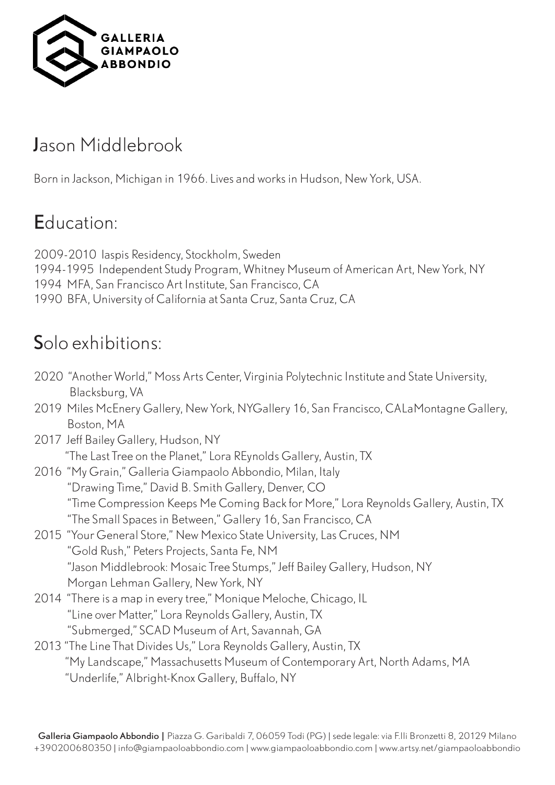

## Jason Middlebrook

Born in Jackson, Michigan in 1966. Lives and works in Hudson, New York, USA.

## Education:

2009-2010 Iaspis Residency, Stockholm, Sweden 1994-1995 Independent Study Program, Whitney Museum of American Art, New York, NY 1994 MFA, San Francisco Art Institute, San Francisco, CA 1990 BFA, University of California at Santa Cruz, Santa Cruz, CA

# Solo exhibitions:

- 2020 "Another World," Moss Arts Center, Virginia Polytechnic Institute and State University, Blacksburg, VA
- 2019 Miles McEnery Gallery, New York, NYGallery 16, San Francisco, CALaMontagne Gallery, Boston, MA
- 2017 Jeff Bailey Gallery, Hudson, NY "The Last Tree on the Planet," Lora REynolds Gallery, Austin, TX
- 2016 "My Grain," Galleria Giampaolo Abbondio, Milan, Italy "Drawing Time," David B. Smith Gallery, Denver, CO "Time Compression Keeps Me Coming Back for More," Lora Reynolds Gallery, Austin, TX "The Small Spaces in Between," Gallery 16, San Francisco, CA
- 2015 "Your General Store," New Mexico State University, Las Cruces, NM "Gold Rush," Peters Projects, Santa Fe, NM "Jason Middlebrook: Mosaic Tree Stumps," Jeff Bailey Gallery, Hudson, NY Morgan Lehman Gallery, New York, NY
- 2014 "There is a map in every tree," Monique Meloche, Chicago, IL "Line over Matter," Lora Reynolds Gallery, Austin, TX "Submerged," SCAD Museum of Art, Savannah, GA

#### 2013 "The Line That Divides Us," Lora Reynolds Gallery, Austin, TX "My Landscape," Massachusetts Museum of Contemporary Art, North Adams, MA "Underlife," Albright-Knox Gallery, Buffalo, NY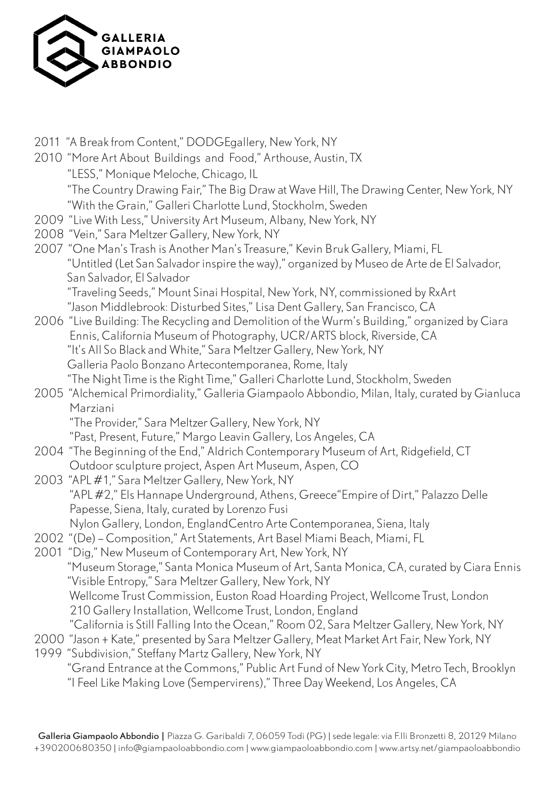

| 2011 "A Break from Content," DODGEgallery, New York, NY<br>2010 "More Art About Buildings and Food," Arthouse, Austin, TX<br>"LESS," Monique Meloche, Chicago, IL<br>"The Country Drawing Fair," The Big Draw at Wave Hill, The Drawing Center, New York, NY<br>"With the Grain," Galleri Charlotte Lund, Stockholm, Sweden                                                                                                                                                                                                                                                    |
|--------------------------------------------------------------------------------------------------------------------------------------------------------------------------------------------------------------------------------------------------------------------------------------------------------------------------------------------------------------------------------------------------------------------------------------------------------------------------------------------------------------------------------------------------------------------------------|
| 2009 "Live With Less," University Art Museum, Albany, New York, NY<br>2008 "Vein," Sara Meltzer Gallery, New York, NY<br>2007 "One Man's Trash is Another Man's Treasure," Kevin Bruk Gallery, Miami, FL<br>"Untitled (Let San Salvador inspire the way)," organized by Museo de Arte de El Salvador,<br>San Salvador, El Salvador                                                                                                                                                                                                                                             |
| "Traveling Seeds," Mount Sinai Hospital, New York, NY, commissioned by RxArt<br>"Jason Middlebrook: Disturbed Sites," Lisa Dent Gallery, San Francisco, CA<br>2006 "Live Building: The Recycling and Demolition of the Wurm's Building," organized by Ciara<br>Ennis, California Museum of Photography, UCR/ARTS block, Riverside, CA<br>"It's All So Black and White," Sara Meltzer Gallery, New York, NY<br>Galleria Paolo Bonzano Artecontemporanea, Rome, Italy                                                                                                            |
| "The Night Time is the Right Time," Galleri Charlotte Lund, Stockholm, Sweden<br>2005 "Alchemical Primordiality," Galleria Giampaolo Abbondio, Milan, Italy, curated by Gianluca<br>Marziani<br>"The Provider," Sara Meltzer Gallery, New York, NY                                                                                                                                                                                                                                                                                                                             |
| "Past, Present, Future," Margo Leavin Gallery, Los Angeles, CA<br>2004 "The Beginning of the End," Aldrich Contemporary Museum of Art, Ridgefield, CT<br>Outdoor sculpture project, Aspen Art Museum, Aspen, CO<br>2003 "APL #1," Sara Meltzer Gallery, New York, NY<br>"APL #2," Els Hannape Underground, Athens, Greece"Empire of Dirt," Palazzo Delle                                                                                                                                                                                                                       |
| Papesse, Siena, Italy, curated by Lorenzo Fusi<br>Nylon Gallery, London, EnglandCentro Arte Contemporanea, Siena, Italy<br>2002 "(De) - Composition," Art Statements, Art Basel Miami Beach, Miami, FL<br>2001 "Dig," New Museum of Contemporary Art, New York, NY<br>"Museum Storage," Santa Monica Museum of Art, Santa Monica, CA, curated by Ciara Ennis<br>"Visible Entropy," Sara Meltzer Gallery, New York, NY                                                                                                                                                          |
| Wellcome Trust Commission, Euston Road Hoarding Project, Wellcome Trust, London<br>210 Gallery Installation, Wellcome Trust, London, England<br>"California is Still Falling Into the Ocean," Room 02, Sara Meltzer Gallery, New York, NY<br>2000 "Jason + Kate," presented by Sara Meltzer Gallery, Meat Market Art Fair, New York, NY<br>1999 "Subdivision," Steffany Martz Gallery, New York, NY<br>"Grand Entrance at the Commons," Public Art Fund of New York City, Metro Tech, Brooklyn<br>"I Feel Like Making Love (Sempervirens)," Three Day Weekend, Los Angeles, CA |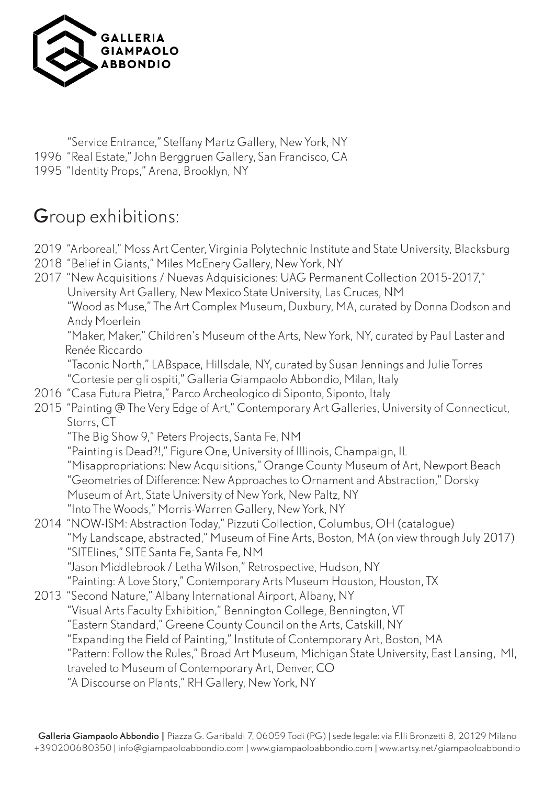

 "Service Entrance," Steffany Martz Gallery, New York, NY 1996 "Real Estate," John Berggruen Gallery, San Francisco, CA 1995 "Identity Props," Arena, Brooklyn, NY

## Group exhibitions:

2019 "Arboreal," Moss Art Center, Virginia Polytechnic Institute and State University, Blacksburg

- 2018 "Belief in Giants," Miles McEnery Gallery, New York, NY
- 2017 "New Acquisitions / Nuevas Adquisiciones: UAG Permanent Collection 2015-2017," University Art Gallery, New Mexico State University, Las Cruces, NM "Wood as Muse," The Art Complex Museum, Duxbury, MA, curated by Donna Dodson and Andy Moerlein "Maker, Maker," Children's Museum of the Arts, New York, NY, curated by Paul Laster and Renée Riccardo "Taconic North," LABspace, Hillsdale, NY, curated by Susan Jennings and Julie Torres "Cortesie per gli ospiti," Galleria Giampaolo Abbondio, Milan, Italy 2016 "Casa Futura Pietra," Parco Archeologico di Siponto, Siponto, Italy 2015 "Painting @ The Very Edge of Art," Contemporary Art Galleries, University of Connecticut,
- Storrs, CT

"The Big Show 9," Peters Projects, Santa Fe, NM

"Painting is Dead?!," Figure One, University of Illinois, Champaign, IL

"Misappropriations: New Acquisitions," Orange County Museum of Art, Newport Beach

"Geometries of Difference: New Approaches to Ornament and Abstraction," Dorsky

- Museum of Art, State University of New York, New Paltz, NY
- "Into The Woods," Morris-Warren Gallery, New York, NY
- 2014 "NOW-ISM: Abstraction Today," Pizzuti Collection, Columbus, OH (catalogue) "My Landscape, abstracted," Museum of Fine Arts, Boston, MA (on view through July 2017) "SITElines," SITE Santa Fe, Santa Fe, NM "Jason Middlebrook / Letha Wilson," Retrospective, Hudson, NY

"Painting: A Love Story," Contemporary Arts Museum Houston, Houston, TX

- 2013 "Second Nature," Albany International Airport, Albany, NY "Visual Arts Faculty Exhibition," Bennington College, Bennington, VT
	- "Eastern Standard," Greene County Council on the Arts, Catskill, NY
	- "Expanding the Field of Painting," Institute of Contemporary Art, Boston, MA

"Pattern: Follow the Rules," Broad Art Museum, Michigan State University, East Lansing, MI,

traveled to Museum of Contemporary Art, Denver, CO

"A Discourse on Plants," RH Gallery, New York, NY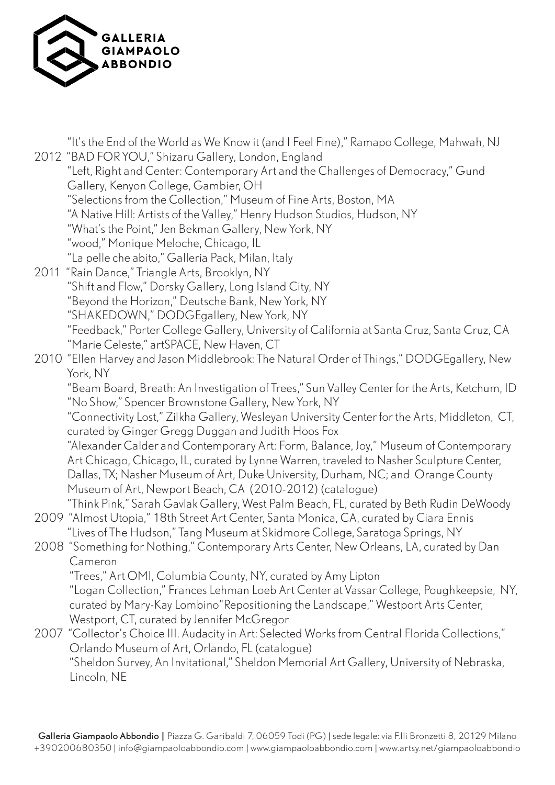

 "It's the End of the World as We Know it (and I Feel Fine)," Ramapo College, Mahwah, NJ 2012 "BAD FOR YOU," Shizaru Gallery, London, England "Left, Right and Center: Contemporary Art and the Challenges of Democracy," Gund Gallery, Kenyon College, Gambier, OH "Selections from the Collection," Museum of Fine Arts, Boston, MA "A Native Hill: Artists of the Valley," Henry Hudson Studios, Hudson, NY "What's the Point," Jen Bekman Gallery, New York, NY "wood," Monique Meloche, Chicago, IL "La pelle che abito," Galleria Pack, Milan, Italy 2011 "Rain Dance," Triangle Arts, Brooklyn, NY "Shift and Flow," Dorsky Gallery, Long Island City, NY "Beyond the Horizon," Deutsche Bank, New York, NY "SHAKEDOWN," DODGEgallery, New York, NY "Feedback," Porter College Gallery, University of California at Santa Cruz, Santa Cruz, CA "Marie Celeste," artSPACE, New Haven, CT 2010 "Ellen Harvey and Jason Middlebrook: The Natural Order of Things," DODGEgallery, New York, NY "Beam Board, Breath: An Investigation of Trees," Sun Valley Center for the Arts, Ketchum, ID "No Show," Spencer Brownstone Gallery, New York, NY "Connectivity Lost," Zilkha Gallery, Wesleyan University Center for the Arts, Middleton, CT, curated by Ginger Gregg Duggan and Judith Hoos Fox "Alexander Calder and Contemporary Art: Form, Balance, Joy," Museum of Contemporary Art Chicago, Chicago, IL, curated by Lynne Warren, traveled to Nasher Sculpture Center, Dallas, TX; Nasher Museum of Art, Duke University, Durham, NC; and Orange County Museum of Art, Newport Beach, CA (2010-2012) (catalogue) "Think Pink," Sarah Gavlak Gallery, West Palm Beach, FL, curated by Beth Rudin DeWoody 2009 "Almost Utopia," 18th Street Art Center, Santa Monica, CA, curated by Ciara Ennis "Lives of The Hudson," Tang Museum at Skidmore College, Saratoga Springs, NY 2008 "Something for Nothing," Contemporary Arts Center, New Orleans, LA, curated by Dan Cameron "Trees," Art OMI, Columbia County, NY, curated by Amy Lipton "Logan Collection," Frances Lehman Loeb Art Center at Vassar College, Poughkeepsie, NY, curated by Mary-Kay Lombino"Repositioning the Landscape," Westport Arts Center, Westport, CT, curated by Jennifer McGregor 2007 "Collector's Choice III. Audacity in Art: Selected Works from Central Florida Collections," Orlando Museum of Art, Orlando, FL (catalogue) "Sheldon Survey, An Invitational," Sheldon Memorial Art Gallery, University of Nebraska, Lincoln, NE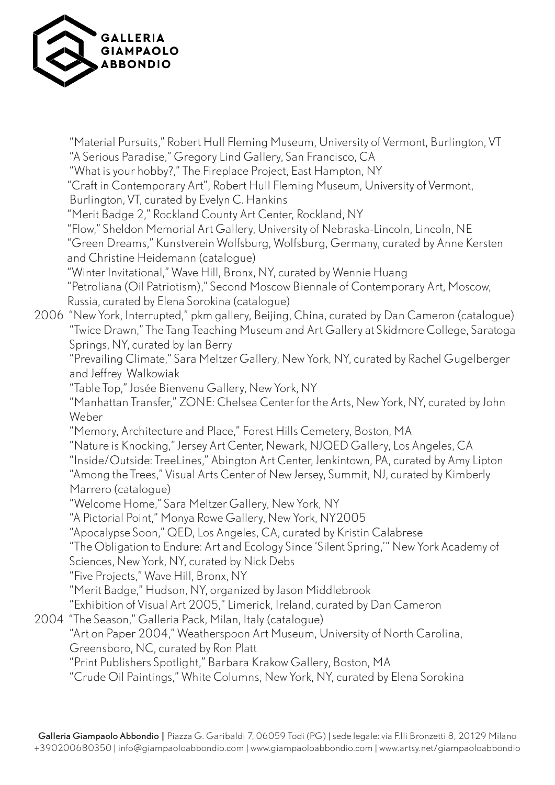

 "Material Pursuits," Robert Hull Fleming Museum, University of Vermont, Burlington, VT "A Serious Paradise," Gregory Lind Gallery, San Francisco, CA "What is your hobby?," The Fireplace Project, East Hampton, NY "Craft in Contemporary Art", Robert Hull Fleming Museum, University of Vermont, Burlington, VT, curated by Evelyn C. Hankins "Merit Badge 2," Rockland County Art Center, Rockland, NY "Flow," Sheldon Memorial Art Gallery, University of Nebraska-Lincoln, Lincoln, NE "Green Dreams," Kunstverein Wolfsburg, Wolfsburg, Germany, curated by Anne Kersten and Christine Heidemann (catalogue) "Winter Invitational," Wave Hill, Bronx, NY, curated by Wennie Huang "Petroliana (Oil Patriotism)," Second Moscow Biennale of Contemporary Art, Moscow, Russia, curated by Elena Sorokina (catalogue) 2006 "New York, Interrupted," pkm gallery, Beijing, China, curated by Dan Cameron (catalogue) "Twice Drawn," The Tang Teaching Museum and Art Gallery at Skidmore College, Saratoga Springs, NY, curated by Ian Berry "Prevailing Climate," Sara Meltzer Gallery, New York, NY, curated by Rachel Gugelberger and Jeffrey Walkowiak "Table Top," Josée Bienvenu Gallery, New York, NY "Manhattan Transfer," ZONE: Chelsea Center for the Arts, New York, NY, curated by John Weber "Memory, Architecture and Place," Forest Hills Cemetery, Boston, MA "Nature is Knocking," Jersey Art Center, Newark, NJQED Gallery, Los Angeles, CA "Inside/Outside: TreeLines," Abington Art Center, Jenkintown, PA, curated by Amy Lipton "Among the Trees," Visual Arts Center of New Jersey, Summit, NJ, curated by Kimberly Marrero (catalogue) "Welcome Home," Sara Meltzer Gallery, New York, NY "A Pictorial Point," Monya Rowe Gallery, New York, NY2005 "Apocalypse Soon," QED, Los Angeles, CA, curated by Kristin Calabrese "The Obligation to Endure: Art and Ecology Since 'Silent Spring,'" New York Academy of Sciences, New York, NY, curated by Nick Debs "Five Projects," Wave Hill, Bronx, NY "Merit Badge," Hudson, NY, organized by Jason Middlebrook "Exhibition of Visual Art 2005," Limerick, Ireland, curated by Dan Cameron 2004 "The Season," Galleria Pack, Milan, Italy (catalogue) "Art on Paper 2004," Weatherspoon Art Museum, University of North Carolina, Greensboro, NC, curated by Ron Platt "Print Publishers Spotlight," Barbara Krakow Gallery, Boston, MA "Crude Oil Paintings," White Columns, New York, NY, curated by Elena Sorokina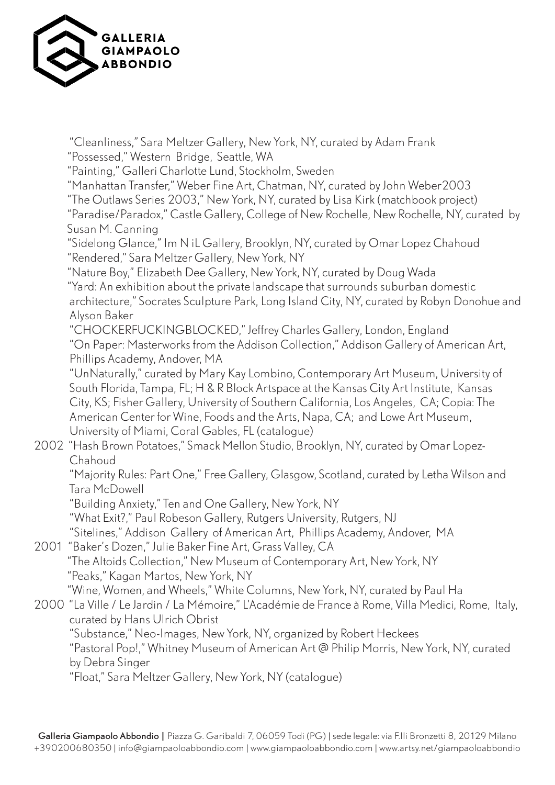

 "Cleanliness," Sara Meltzer Gallery, New York, NY, curated by Adam Frank "Possessed," Western Bridge, Seattle, WA "Painting," Galleri Charlotte Lund, Stockholm, Sweden "Manhattan Transfer," Weber Fine Art, Chatman, NY, curated by John Weber2003 "The Outlaws Series 2003," New York, NY, curated by Lisa Kirk (matchbook project) "Paradise/Paradox," Castle Gallery, College of New Rochelle, New Rochelle, NY, curated by Susan M. Canning "Sidelong Glance," Im N iL Gallery, Brooklyn, NY, curated by Omar Lopez Chahoud "Rendered," Sara Meltzer Gallery, New York, NY "Nature Boy," Elizabeth Dee Gallery, New York, NY, curated by Doug Wada "Yard: An exhibition about the private landscape that surrounds suburban domestic architecture," Socrates Sculpture Park, Long Island City, NY, curated by Robyn Donohue and Alyson Baker "CHOCKERFUCKINGBLOCKED," Jeffrey Charles Gallery, London, England "On Paper: Masterworks from the Addison Collection," Addison Gallery of American Art, Phillips Academy, Andover, MA "UnNaturally," curated by Mary Kay Lombino, Contemporary Art Museum, University of South Florida, Tampa, FL; H & R Block Artspace at the Kansas City Art Institute, Kansas City, KS; Fisher Gallery, University of Southern California, Los Angeles, CA; Copia: The American Center for Wine, Foods and the Arts, Napa, CA; and Lowe Art Museum, University of Miami, Coral Gables, FL (catalogue) 2002 "Hash Brown Potatoes," Smack Mellon Studio, Brooklyn, NY, curated by Omar Lopez- Chahoud "Majority Rules: Part One," Free Gallery, Glasgow, Scotland, curated by Letha Wilson and Tara McDowell "Building Anxiety," Ten and One Gallery, New York, NY "What Exit?," Paul Robeson Gallery, Rutgers University, Rutgers, NJ "Sitelines," Addison Gallery of American Art, Phillips Academy, Andover, MA 2001 "Baker's Dozen," Julie Baker Fine Art, Grass Valley, CA "The Altoids Collection," New Museum of Contemporary Art, New York, NY "Peaks," Kagan Martos, New York, NY "Wine, Women, and Wheels," White Columns, New York, NY, curated by Paul Ha 2000 "La Ville / Le Jardin / La Mémoire," L'Académie de France à Rome, Villa Medici, Rome, Italy, curated by Hans Ulrich Obrist "Substance," Neo-Images, New York, NY, organized by Robert Heckees "Pastoral Pop!," Whitney Museum of American Art @ Philip Morris, New York, NY, curated by Debra Singer "Float," Sara Meltzer Gallery, New York, NY (catalogue)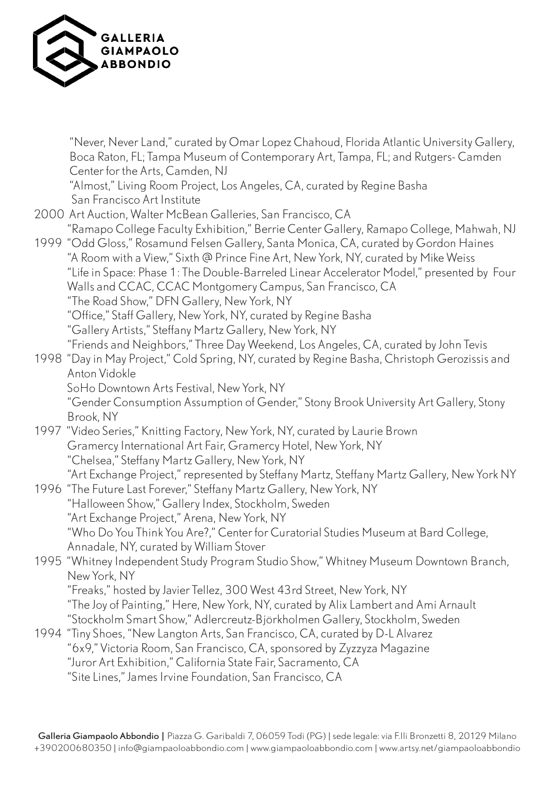

| "Never, Never Land," curated by Omar Lopez Chahoud, Florida Atlantic University Gallery,<br>Boca Raton, FL; Tampa Museum of Contemporary Art, Tampa, FL; and Rutgers-Camden<br>Center for the Arts, Camden, NJ                                                                                                                                                                      |
|-------------------------------------------------------------------------------------------------------------------------------------------------------------------------------------------------------------------------------------------------------------------------------------------------------------------------------------------------------------------------------------|
| "Almost," Living Room Project, Los Angeles, CA, curated by Regine Basha<br>San Francisco Art Institute                                                                                                                                                                                                                                                                              |
| 2000 Art Auction, Walter McBean Galleries, San Francisco, CA                                                                                                                                                                                                                                                                                                                        |
| "Ramapo College Faculty Exhibition," Berrie Center Gallery, Ramapo College, Mahwah, NJ                                                                                                                                                                                                                                                                                              |
| 1999 "Odd Gloss," Rosamund Felsen Gallery, Santa Monica, CA, curated by Gordon Haines<br>"A Room with a View," Sixth @ Prince Fine Art, New York, NY, curated by Mike Weiss<br>"Life in Space: Phase 1: The Double-Barreled Linear Accelerator Model," presented by Four<br>Walls and CCAC, CCAC Montgomery Campus, San Francisco, CA<br>"The Road Show," DFN Gallery, New York, NY |
| "Office," Staff Gallery, New York, NY, curated by Regine Basha                                                                                                                                                                                                                                                                                                                      |
| "Gallery Artists," Steffany Martz Gallery, New York, NY                                                                                                                                                                                                                                                                                                                             |
| "Friends and Neighbors," Three Day Weekend, Los Angeles, CA, curated by John Tevis                                                                                                                                                                                                                                                                                                  |
| 1998 "Day in May Project," Cold Spring, NY, curated by Regine Basha, Christoph Gerozissis and<br>Anton Vidokle                                                                                                                                                                                                                                                                      |
| SoHo Downtown Arts Festival, New York, NY                                                                                                                                                                                                                                                                                                                                           |
| "Gender Consumption Assumption of Gender," Stony Brook University Art Gallery, Stony                                                                                                                                                                                                                                                                                                |
| Brook, NY                                                                                                                                                                                                                                                                                                                                                                           |
| 1997 "Video Series," Knitting Factory, New York, NY, curated by Laurie Brown                                                                                                                                                                                                                                                                                                        |
| Gramercy International Art Fair, Gramercy Hotel, New York, NY                                                                                                                                                                                                                                                                                                                       |
| "Chelsea," Steffany Martz Gallery, New York, NY                                                                                                                                                                                                                                                                                                                                     |
| "Art Exchange Project," represented by Steffany Martz, Steffany Martz Gallery, New York NY                                                                                                                                                                                                                                                                                          |
| 1996 "The Future Last Forever," Steffany Martz Gallery, New York, NY<br>"Halloween Show," Gallery Index, Stockholm, Sweden                                                                                                                                                                                                                                                          |
| "Art Exchange Project," Arena, New York, NY                                                                                                                                                                                                                                                                                                                                         |
| "Who Do You Think You Are?," Center for Curatorial Studies Museum at Bard College,                                                                                                                                                                                                                                                                                                  |
| Annadale, NY, curated by William Stover                                                                                                                                                                                                                                                                                                                                             |
| 1995 "Whitney Independent Study Program Studio Show," Whitney Museum Downtown Branch,                                                                                                                                                                                                                                                                                               |
| New York, NY                                                                                                                                                                                                                                                                                                                                                                        |
| "Freaks," hosted by Javier Tellez, 300 West 43rd Street, New York, NY                                                                                                                                                                                                                                                                                                               |
| "The Joy of Painting," Here, New York, NY, curated by Alix Lambert and Ami Arnault                                                                                                                                                                                                                                                                                                  |
| "Stockholm Smart Show," Adlercreutz-Björkholmen Gallery, Stockholm, Sweden                                                                                                                                                                                                                                                                                                          |
| 1994 "Tiny Shoes, "New Langton Arts, San Francisco, CA, curated by D-L Alvarez                                                                                                                                                                                                                                                                                                      |
|                                                                                                                                                                                                                                                                                                                                                                                     |
| "6x9," Victoria Room, San Francisco, CA, sponsored by Zyzzyza Magazine                                                                                                                                                                                                                                                                                                              |
| "Juror Art Exhibition," California State Fair, Sacramento, CA                                                                                                                                                                                                                                                                                                                       |
| "Site Lines," James Irvine Foundation, San Francisco, CA                                                                                                                                                                                                                                                                                                                            |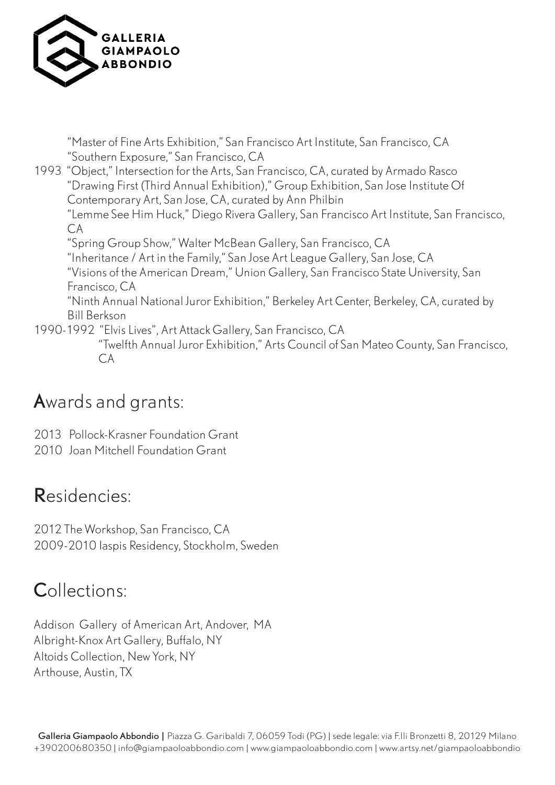

 "Master of Fine Arts Exhibition," San Francisco Art Institute, San Francisco, CA "Southern Exposure," San Francisco, CA 1993 "Object," Intersection for the Arts, San Francisco, CA, curated by Armado Rasco "Drawing First (Third Annual Exhibition)," Group Exhibition, San Jose Institute Of Contemporary Art, San Jose, CA, curated by Ann Philbin "Lemme See Him Huck," Diego Rivera Gallery, San Francisco Art Institute, San Francisco,  $CA$  "Spring Group Show," Walter McBean Gallery, San Francisco, CA "Inheritance / Art in the Family," San Jose Art League Gallery, San Jose, CA "Visions of the American Dream," Union Gallery, San Francisco State University, San Francisco, CA "Ninth Annual National Juror Exhibition," Berkeley Art Center, Berkeley, CA, curated by Bill Berkson 1990-1992 "Elvis Lives", Art Attack Gallery, San Francisco, CA "Twelfth Annual Juror Exhibition," Arts Council of San Mateo County, San Francisco, CA

### Awards and grants:

- 2013 Pollock-Krasner Foundation Grant
- 2010 Joan Mitchell Foundation Grant

#### Residencies:

2012 The Workshop, San Francisco, CA 2009-2010 Iaspis Residency, Stockholm, Sweden

### Collections:

Addison Gallery of American Art, Andover, MA Albright-Knox Art Gallery, Buffalo, NY Altoids Collection, New York, NY Arthouse, Austin, TX